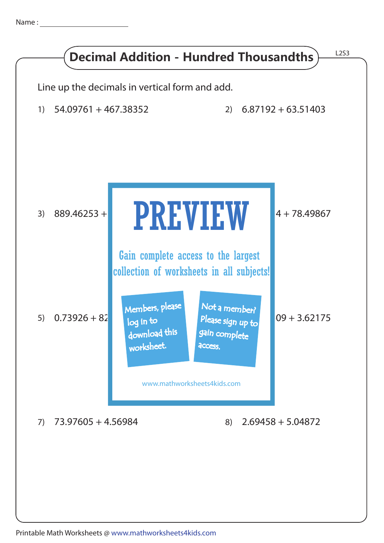